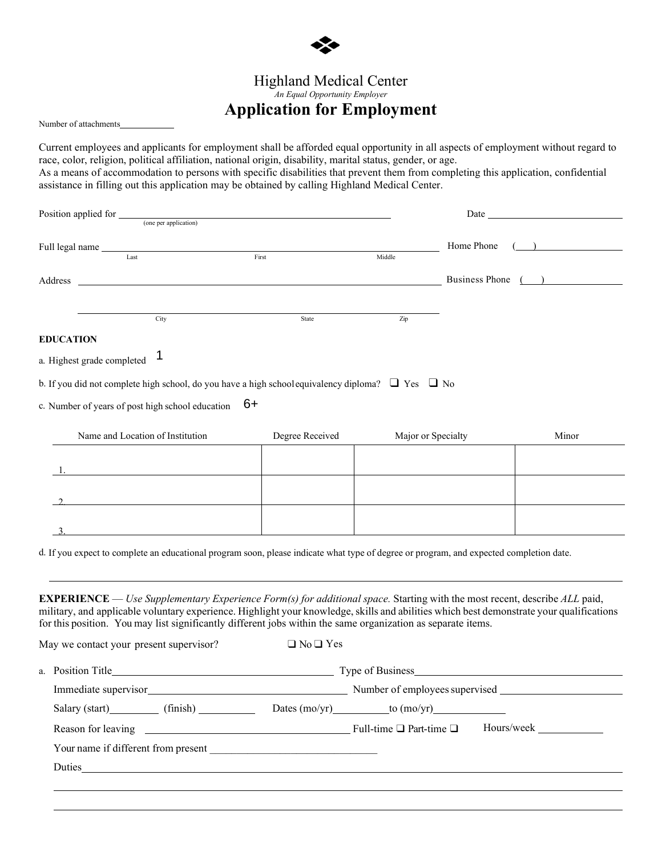

# Highland Medical Center

*An Equal Opportunity Employer*

# **Application for Employment**

Number of attachments

Current employees and applicants for employment shall be afforded equal opportunity in all aspects of employment without regard to race, color, religion, political affiliation, national origin, disability, marital status, gender, or age. As a means of accommodation to persons with specific disabilities that prevent them from completing this application, confidential

assistance in filling out this application may be obtained by calling Highland Medical Center.

| Home Phone<br>Full legal name Last<br>First<br>Middle<br>Business Phone ()<br><u>state and the state of the state of the state of the state of the state of the state of the state of the state of the state of the state of the state of the state of the state of the state of the state of the state of the</u><br>City<br>Zip<br>State<br>Ί<br>6+<br>Name and Location of Institution<br>Degree Received<br>Major or Specialty<br>Minor<br><u> 1980 - Johann Barn, mars ar breithinn ar chomhair an t-Alban ann an t-Alban ann an t-Alban ann an t-Alban an</u><br>$\Box$ No $\Box$ Yes<br>Type of Business Type of Business<br>Immediate supervisor<br>Number of employees supervised<br>Salary (start) (finish) Dates (mo/yr) to (mo/yr) (start)<br>Hours/week<br>Your name if different from present<br>Duties <u>and the second contract of the second contract of the second contract of the second contract of the second contract of the second contract of the second contract of the second contract of the second contract of the</u> | Position applied for _______ |                       |  |  |
|-----------------------------------------------------------------------------------------------------------------------------------------------------------------------------------------------------------------------------------------------------------------------------------------------------------------------------------------------------------------------------------------------------------------------------------------------------------------------------------------------------------------------------------------------------------------------------------------------------------------------------------------------------------------------------------------------------------------------------------------------------------------------------------------------------------------------------------------------------------------------------------------------------------------------------------------------------------------------------------------------------------------------------------------------------|------------------------------|-----------------------|--|--|
|                                                                                                                                                                                                                                                                                                                                                                                                                                                                                                                                                                                                                                                                                                                                                                                                                                                                                                                                                                                                                                                     |                              | (one per application) |  |  |
| Address<br><b>EDUCATION</b><br>a. Highest grade completed<br>b. If you did not complete high school, do you have a high school equivalency diploma? $\Box$ Yes $\Box$ No<br>c. Number of years of post high school education                                                                                                                                                                                                                                                                                                                                                                                                                                                                                                                                                                                                                                                                                                                                                                                                                        |                              |                       |  |  |
|                                                                                                                                                                                                                                                                                                                                                                                                                                                                                                                                                                                                                                                                                                                                                                                                                                                                                                                                                                                                                                                     |                              |                       |  |  |
|                                                                                                                                                                                                                                                                                                                                                                                                                                                                                                                                                                                                                                                                                                                                                                                                                                                                                                                                                                                                                                                     |                              |                       |  |  |
|                                                                                                                                                                                                                                                                                                                                                                                                                                                                                                                                                                                                                                                                                                                                                                                                                                                                                                                                                                                                                                                     |                              |                       |  |  |
|                                                                                                                                                                                                                                                                                                                                                                                                                                                                                                                                                                                                                                                                                                                                                                                                                                                                                                                                                                                                                                                     |                              |                       |  |  |
|                                                                                                                                                                                                                                                                                                                                                                                                                                                                                                                                                                                                                                                                                                                                                                                                                                                                                                                                                                                                                                                     |                              |                       |  |  |
|                                                                                                                                                                                                                                                                                                                                                                                                                                                                                                                                                                                                                                                                                                                                                                                                                                                                                                                                                                                                                                                     |                              |                       |  |  |
|                                                                                                                                                                                                                                                                                                                                                                                                                                                                                                                                                                                                                                                                                                                                                                                                                                                                                                                                                                                                                                                     |                              |                       |  |  |
|                                                                                                                                                                                                                                                                                                                                                                                                                                                                                                                                                                                                                                                                                                                                                                                                                                                                                                                                                                                                                                                     |                              |                       |  |  |
| d. If you expect to complete an educational program soon, please indicate what type of degree or program, and expected completion date.<br><b>EXPERIENCE</b> — Use Supplementary Experience Form(s) for additional space. Starting with the most recent, describe ALL paid,<br>military, and applicable voluntary experience. Highlight your knowledge, skills and abilities which best demonstrate your qualifications<br>for this position. You may list significantly different jobs within the same organization as separate items.<br>May we contact your present supervisor?<br>a. Position Title                                                                                                                                                                                                                                                                                                                                                                                                                                             |                              |                       |  |  |
|                                                                                                                                                                                                                                                                                                                                                                                                                                                                                                                                                                                                                                                                                                                                                                                                                                                                                                                                                                                                                                                     |                              |                       |  |  |
|                                                                                                                                                                                                                                                                                                                                                                                                                                                                                                                                                                                                                                                                                                                                                                                                                                                                                                                                                                                                                                                     |                              |                       |  |  |
|                                                                                                                                                                                                                                                                                                                                                                                                                                                                                                                                                                                                                                                                                                                                                                                                                                                                                                                                                                                                                                                     |                              |                       |  |  |
|                                                                                                                                                                                                                                                                                                                                                                                                                                                                                                                                                                                                                                                                                                                                                                                                                                                                                                                                                                                                                                                     |                              |                       |  |  |
|                                                                                                                                                                                                                                                                                                                                                                                                                                                                                                                                                                                                                                                                                                                                                                                                                                                                                                                                                                                                                                                     |                              |                       |  |  |
|                                                                                                                                                                                                                                                                                                                                                                                                                                                                                                                                                                                                                                                                                                                                                                                                                                                                                                                                                                                                                                                     |                              |                       |  |  |
|                                                                                                                                                                                                                                                                                                                                                                                                                                                                                                                                                                                                                                                                                                                                                                                                                                                                                                                                                                                                                                                     |                              |                       |  |  |
|                                                                                                                                                                                                                                                                                                                                                                                                                                                                                                                                                                                                                                                                                                                                                                                                                                                                                                                                                                                                                                                     |                              |                       |  |  |
|                                                                                                                                                                                                                                                                                                                                                                                                                                                                                                                                                                                                                                                                                                                                                                                                                                                                                                                                                                                                                                                     |                              |                       |  |  |
|                                                                                                                                                                                                                                                                                                                                                                                                                                                                                                                                                                                                                                                                                                                                                                                                                                                                                                                                                                                                                                                     |                              |                       |  |  |
|                                                                                                                                                                                                                                                                                                                                                                                                                                                                                                                                                                                                                                                                                                                                                                                                                                                                                                                                                                                                                                                     |                              |                       |  |  |
|                                                                                                                                                                                                                                                                                                                                                                                                                                                                                                                                                                                                                                                                                                                                                                                                                                                                                                                                                                                                                                                     |                              |                       |  |  |
|                                                                                                                                                                                                                                                                                                                                                                                                                                                                                                                                                                                                                                                                                                                                                                                                                                                                                                                                                                                                                                                     |                              |                       |  |  |
|                                                                                                                                                                                                                                                                                                                                                                                                                                                                                                                                                                                                                                                                                                                                                                                                                                                                                                                                                                                                                                                     |                              |                       |  |  |
|                                                                                                                                                                                                                                                                                                                                                                                                                                                                                                                                                                                                                                                                                                                                                                                                                                                                                                                                                                                                                                                     |                              |                       |  |  |
|                                                                                                                                                                                                                                                                                                                                                                                                                                                                                                                                                                                                                                                                                                                                                                                                                                                                                                                                                                                                                                                     |                              |                       |  |  |
|                                                                                                                                                                                                                                                                                                                                                                                                                                                                                                                                                                                                                                                                                                                                                                                                                                                                                                                                                                                                                                                     |                              |                       |  |  |
|                                                                                                                                                                                                                                                                                                                                                                                                                                                                                                                                                                                                                                                                                                                                                                                                                                                                                                                                                                                                                                                     |                              |                       |  |  |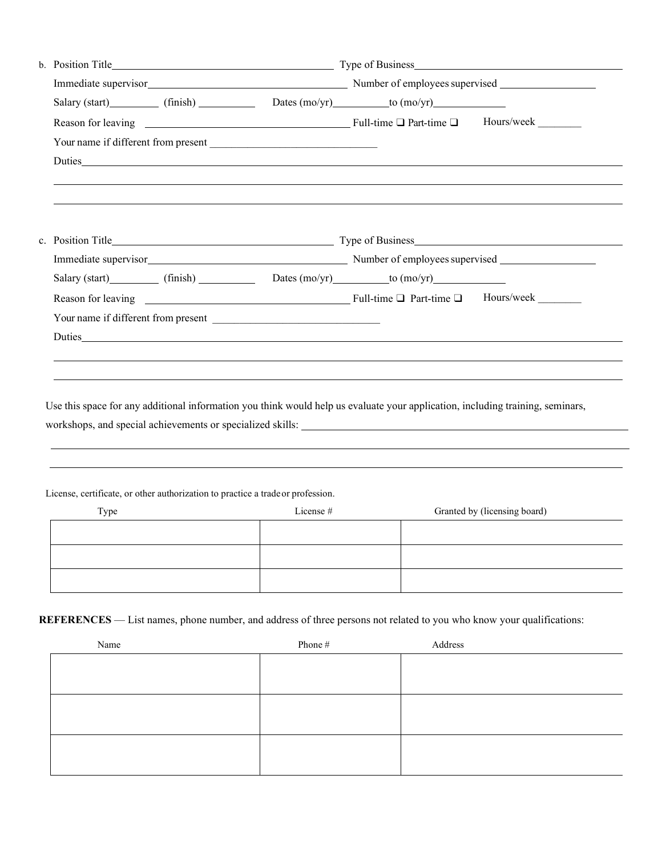|      |  |                                                                                              | Salary (start) (finish) Dates (mo/yr) to (mo/yr)                                                                               |                                                            |
|------|--|----------------------------------------------------------------------------------------------|--------------------------------------------------------------------------------------------------------------------------------|------------------------------------------------------------|
|      |  |                                                                                              |                                                                                                                                |                                                            |
|      |  |                                                                                              |                                                                                                                                |                                                            |
|      |  |                                                                                              |                                                                                                                                |                                                            |
|      |  |                                                                                              |                                                                                                                                |                                                            |
|      |  |                                                                                              |                                                                                                                                |                                                            |
|      |  |                                                                                              |                                                                                                                                |                                                            |
|      |  |                                                                                              | Salary (start) (finish) Dates (mo/yr) to (mo/yr)                                                                               |                                                            |
|      |  |                                                                                              |                                                                                                                                |                                                            |
|      |  |                                                                                              |                                                                                                                                |                                                            |
|      |  |                                                                                              |                                                                                                                                |                                                            |
|      |  |                                                                                              |                                                                                                                                |                                                            |
|      |  |                                                                                              | Use this space for any additional information you think would help us evaluate your application, including training, seminars, | workshops, and special achievements or specialized skills: |
|      |  |                                                                                              |                                                                                                                                |                                                            |
|      |  | License, certificate, or other authorization to practice a trade or profession.<br>License # |                                                                                                                                |                                                            |
| Type |  |                                                                                              |                                                                                                                                | Granted by (licensing board)                               |
|      |  |                                                                                              |                                                                                                                                |                                                            |
|      |  |                                                                                              |                                                                                                                                |                                                            |

| Name | Phone # | Address |
|------|---------|---------|
|      |         |         |
|      |         |         |
|      |         |         |
|      |         |         |
|      |         |         |
|      |         |         |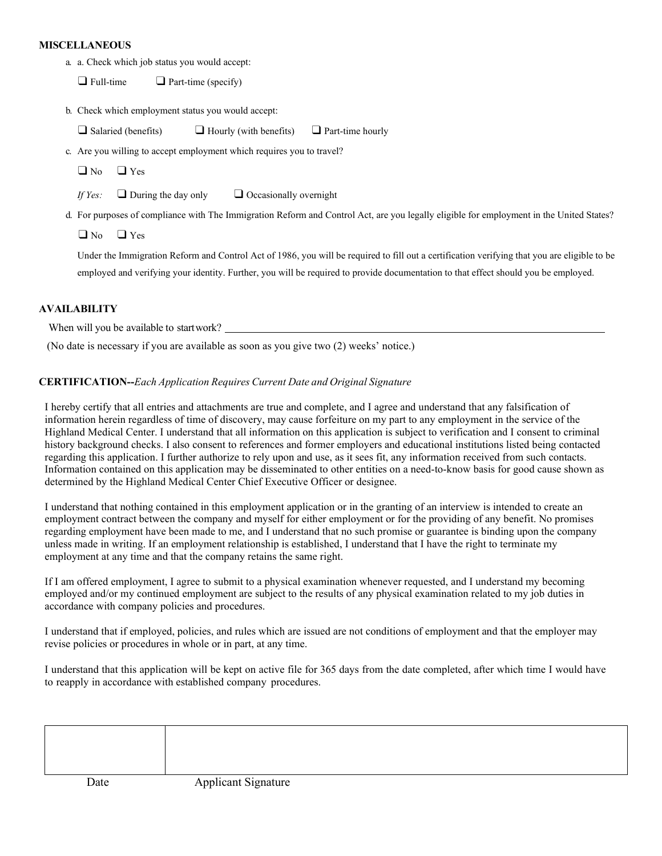## **MISCELLANEOUS**

a. a. Check which job status you would accept:

 $\Box$  Full-time  $\Box$  Part-time (specify)

b. Check which employment status you would accept:

 $\Box$  Salaried (benefits)  $\Box$  Hourly (with benefits)  $\Box$  Part-time hourly

c. Are you willing to accept employment which requires you to travel?

❑ No ❑ Yes

*If Yes:* □ During the day only □ Occasionally overnight

d. For purposes of compliance with The Immigration Reform and Control Act, are you legally eligible for employment in the United States?

 $\Box$  No  $\Box$  Yes

Under the Immigration Reform and Control Act of 1986, you will be required to fill out a certification verifying that you are eligible to be employed and verifying your identity. Further, you will be required to provide documentation to that effect should you be employed.

## **AVAILABILITY**

When will you be available to startwork?

(No date is necessary if you are available as soon as you give two (2) weeks' notice.)

## **CERTIFICATION--***Each Application Requires Current Date and Original Signature*

I hereby certify that all entries and attachments are true and complete, and I agree and understand that any falsification of information herein regardless of time of discovery, may cause forfeiture on my part to any employment in the service of the Highland Medical Center. I understand that all information on this application is subject to verification and I consent to criminal history background checks. I also consent to references and former employers and educational institutions listed being contacted regarding this application. I further authorize to rely upon and use, as it sees fit, any information received from such contacts. Information contained on this application may be disseminated to other entities on a need-to-know basis for good cause shown as determined by the Highland Medical Center Chief Executive Officer or designee.

I understand that nothing contained in this employment application or in the granting of an interview is intended to create an employment contract between the company and myself for either employment or for the providing of any benefit. No promises regarding employment have been made to me, and I understand that no such promise or guarantee is binding upon the company unless made in writing. If an employment relationship is established, I understand that I have the right to terminate my employment at any time and that the company retains the same right.

If I am offered employment, I agree to submit to a physical examination whenever requested, and I understand my becoming employed and/or my continued employment are subject to the results of any physical examination related to my job duties in accordance with company policies and procedures.

I understand that if employed, policies, and rules which are issued are not conditions of employment and that the employer may revise policies or procedures in whole or in part, at any time.

I understand that this application will be kept on active file for 365 days from the date completed, after which time I would have to reapply in accordance with established company procedures.

| Date | <b>Applicant Signature</b> |  |
|------|----------------------------|--|
|      |                            |  |